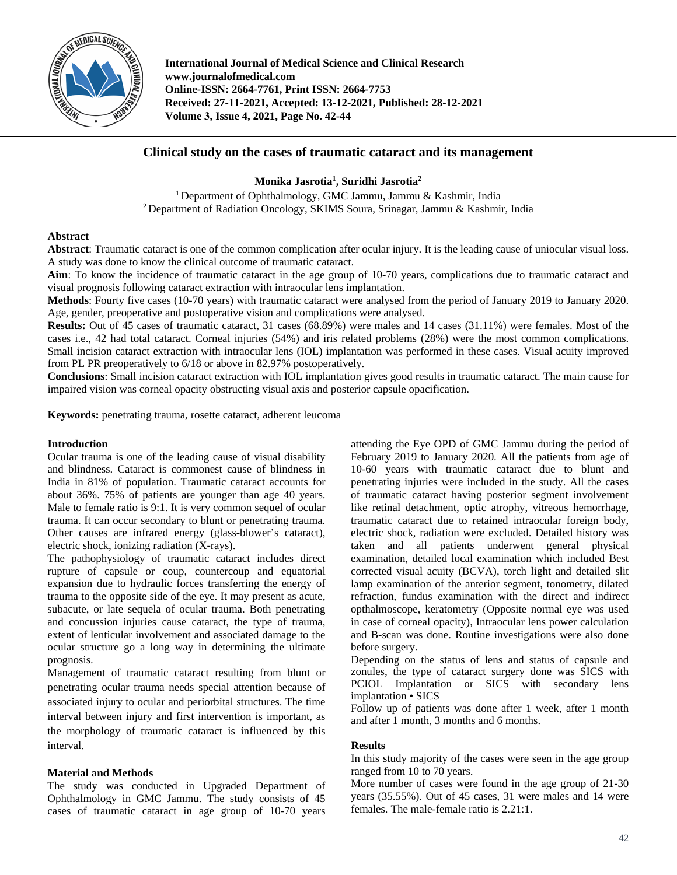

**International Journal of Medical Science and Clinical Research www.journalofmedical.com Online-ISSN: 2664-7761, Print ISSN: 2664-7753 Received: 27-11-2021, Accepted: 13-12-2021, Published: 28-12-2021 Volume 3, Issue 4, 2021, Page No. 42-44** 

# **Clinical study on the cases of traumatic cataract and its management**

**Monika Jasrotia1 , Suridhi Jasrotia2**

<sup>1</sup> Department of Ophthalmology, GMC Jammu, Jammu & Kashmir, India <sup>2</sup> Department of Radiation Oncology, SKIMS Soura, Srinagar, Jammu & Kashmir, India

## **Abstract**

**Abstract**: Traumatic cataract is one of the common complication after ocular injury. It is the leading cause of uniocular visual loss. A study was done to know the clinical outcome of traumatic cataract.

**Aim**: To know the incidence of traumatic cataract in the age group of 10-70 years, complications due to traumatic cataract and visual prognosis following cataract extraction with intraocular lens implantation.

**Methods**: Fourty five cases (10-70 years) with traumatic cataract were analysed from the period of January 2019 to January 2020. Age, gender, preoperative and postoperative vision and complications were analysed.

**Results:** Out of 45 cases of traumatic cataract, 31 cases (68.89%) were males and 14 cases (31.11%) were females. Most of the cases i.e., 42 had total cataract. Corneal injuries (54%) and iris related problems (28%) were the most common complications. Small incision cataract extraction with intraocular lens (IOL) implantation was performed in these cases. Visual acuity improved from PL PR preoperatively to 6/18 or above in 82.97% postoperatively.

**Conclusions**: Small incision cataract extraction with IOL implantation gives good results in traumatic cataract. The main cause for impaired vision was corneal opacity obstructing visual axis and posterior capsule opacification.

**Keywords:** penetrating trauma, rosette cataract, adherent leucoma

## **Introduction**

Ocular trauma is one of the leading cause of visual disability and blindness. Cataract is commonest cause of blindness in India in 81% of population. Traumatic cataract accounts for about 36%. 75% of patients are younger than age 40 years. Male to female ratio is 9:1. It is very common sequel of ocular trauma. It can occur secondary to blunt or penetrating trauma. Other causes are infrared energy (glass-blower's cataract), electric shock, ionizing radiation (X-rays).

The pathophysiology of traumatic cataract includes direct rupture of capsule or coup, countercoup and equatorial expansion due to hydraulic forces transferring the energy of trauma to the opposite side of the eye. It may present as acute, subacute, or late sequela of ocular trauma. Both penetrating and concussion injuries cause cataract, the type of trauma, extent of lenticular involvement and associated damage to the ocular structure go a long way in determining the ultimate prognosis.

Management of traumatic cataract resulting from blunt or penetrating ocular trauma needs special attention because of associated injury to ocular and periorbital structures. The time interval between injury and first intervention is important, as the morphology of traumatic cataract is influenced by this interval.

#### **Material and Methods**

The study was conducted in Upgraded Department of Ophthalmology in GMC Jammu. The study consists of 45 cases of traumatic cataract in age group of 10-70 years

attending the Eye OPD of GMC Jammu during the period of February 2019 to January 2020. All the patients from age of 10-60 years with traumatic cataract due to blunt and penetrating injuries were included in the study. All the cases of traumatic cataract having posterior segment involvement like retinal detachment, optic atrophy, vitreous hemorrhage, traumatic cataract due to retained intraocular foreign body, electric shock, radiation were excluded. Detailed history was taken and all patients underwent general physical examination, detailed local examination which included Best corrected visual acuity (BCVA), torch light and detailed slit lamp examination of the anterior segment, tonometry, dilated refraction, fundus examination with the direct and indirect opthalmoscope, keratometry (Opposite normal eye was used in case of corneal opacity), Intraocular lens power calculation and B-scan was done. Routine investigations were also done before surgery.

Depending on the status of lens and status of capsule and zonules, the type of cataract surgery done was SICS with PCIOL Implantation or SICS with secondary lens implantation • SICS

Follow up of patients was done after 1 week, after 1 month and after 1 month, 3 months and 6 months.

#### **Results**

In this study majority of the cases were seen in the age group ranged from 10 to 70 years.

More number of cases were found in the age group of 21-30 years (35.55%). Out of 45 cases, 31 were males and 14 were females. The male-female ratio is 2.21:1.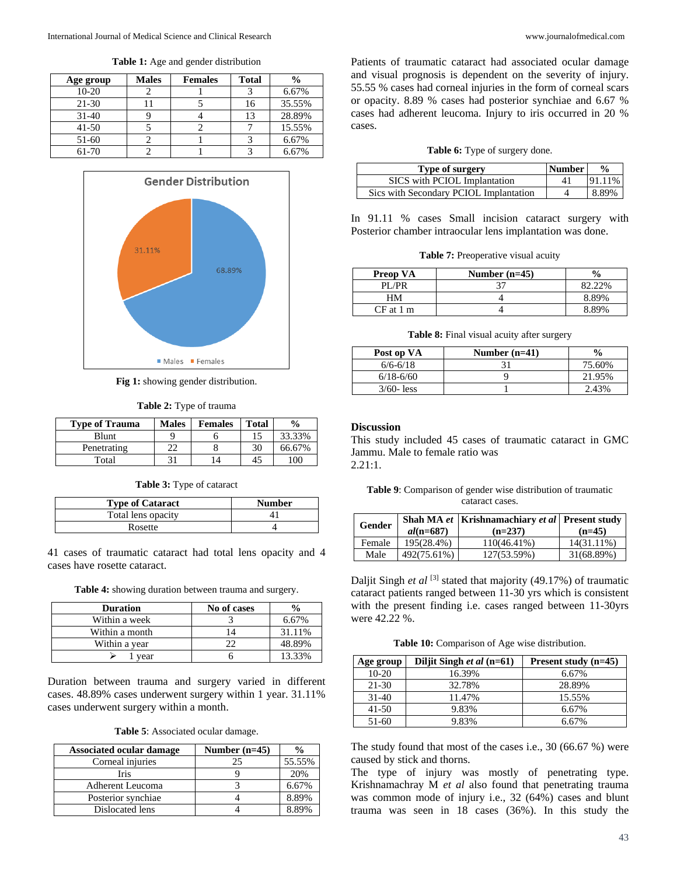**Table 1:** Age and gender distribution

| Age group | <b>Males</b> | <b>Females</b> | <b>Total</b> | $\frac{0}{0}$ |
|-----------|--------------|----------------|--------------|---------------|
| $10-20$   |              |                |              | 6.67%         |
| $21-30$   |              |                | 16           | 35.55%        |
| $31 - 40$ |              |                | 13           | 28.89%        |
| $41 - 50$ |              |                |              | 15.55%        |
| $51-60$   |              |                |              | 6.67%         |
| 61-70     |              |                |              | 6.67%         |



**Fig 1:** showing gender distribution.

| Table 2: Type of trauma |  |  |
|-------------------------|--|--|
|-------------------------|--|--|

| <b>Type of Trauma</b> | <b>Males</b> | <b>Females</b> | <b>Total</b> | $\frac{6}{9}$ |
|-----------------------|--------------|----------------|--------------|---------------|
| Blunt                 |              |                |              | 33.33%        |
| Penetrating           |              |                |              | 66.67%        |
| Total                 |              |                |              | 00            |

|  |  |  |  | Table 3: Type of cataract |
|--|--|--|--|---------------------------|
|--|--|--|--|---------------------------|

| <b>Type of Cataract</b> | <b>Number</b> |
|-------------------------|---------------|
| Total lens opacity      |               |
| Rosette                 |               |

41 cases of traumatic cataract had total lens opacity and 4 cases have rosette cataract.

**Table 4:** showing duration between trauma and surgery.

| <b>Duration</b> | No of cases |        |
|-----------------|-------------|--------|
| Within a week   |             | 6.67%  |
| Within a month  |             | 31.11% |
| Within a year   |             | 48.89% |
| year            |             | 13.33% |

Duration between trauma and surgery varied in different cases. 48.89% cases underwent surgery within 1 year. 31.11% cases underwent surgery within a month.

**Table 5**: Associated ocular damage.

| <b>Associated ocular damage</b> | Number $(n=45)$ | $\frac{0}{0}$ |
|---------------------------------|-----------------|---------------|
| Corneal injuries                | 25              | 55.55%        |
| Iris                            |                 | 20%           |
| <b>Adherent Leucoma</b>         |                 | 6.67%         |
| Posterior synchiae              |                 | 8.89%         |
| Dislocated lens                 |                 | 8.89%         |

Patients of traumatic cataract had associated ocular damage and visual prognosis is dependent on the severity of injury. 55.55 % cases had corneal injuries in the form of corneal scars or opacity. 8.89 % cases had posterior synchiae and 6.67 % cases had adherent leucoma. Injury to iris occurred in 20 % cases.

|  |  |  |  | Table 6: Type of surgery done. |  |
|--|--|--|--|--------------------------------|--|
|--|--|--|--|--------------------------------|--|

| Type of surgery                        | <b>Number</b> | $\frac{6}{9}$ |
|----------------------------------------|---------------|---------------|
| SICS with PCIOL Implantation           |               | 91.11%        |
| Sics with Secondary PCIOL Implantation |               | 8.89%         |

In 91.11 % cases Small incision cataract surgery with Posterior chamber intraocular lens implantation was done.

| Table 7: Preoperative visual acuity |  |
|-------------------------------------|--|
|                                     |  |

| <b>Preop VA</b> | Number $(n=45)$ |        |
|-----------------|-----------------|--------|
| PI /PR          |                 | 82.22% |
| HМ              |                 | 8.89%  |
| CF at 1 m       |                 | 8 89%  |

**Table 8:** Final visual acuity after surgery

| Post op VA    | Number $(n=41)$ | $\frac{6}{6}$ |
|---------------|-----------------|---------------|
| $6/6 - 6/18$  |                 | 75.60%        |
| $6/18 - 6/60$ |                 | 21.95%        |
| $3/60$ - less |                 | 2.43%         |

## **Discussion**

This study included 45 cases of traumatic cataract in GMC Jammu. Male to female ratio was 2.21:1.

**Table 9**: Comparison of gender wise distribution of traumatic cataract cases.

| Gender | $al(n=687)$ | Shah MA et   Krishnamachiary et al   Present study<br>$(n=237)$ | $(n=45)$   |
|--------|-------------|-----------------------------------------------------------------|------------|
| Female | 195(28.4%)  | $110(46.41\%)$                                                  | 14(31.11%) |
| Male   | 492(75.61%) | 127(53.59%)                                                     | 31(68.89%) |

Daljit Singh *et al* [3] stated that majority (49.17%) of traumatic cataract patients ranged between 11-30 yrs which is consistent with the present finding i.e. cases ranged between 11-30yrs were 42.22 %.

**Table 10:** Comparison of Age wise distribution.

| Age group | Diljit Singh et al (n=61) | Present study $(n=45)$ |
|-----------|---------------------------|------------------------|
| $10-20$   | 16.39%                    | 6.67%                  |
| 21-30     | 32.78%                    | 28.89%                 |
| $31-40$   | 11.47%                    | 15.55%                 |
| $41 - 50$ | 9.83%                     | 6.67%                  |
| 51-60     | 9.83%                     | 6.67%                  |

The study found that most of the cases i.e., 30 (66.67 %) were caused by stick and thorns.

The type of injury was mostly of penetrating type. Krishnamachray M *et al* also found that penetrating trauma was common mode of injury i.e., 32 (64%) cases and blunt trauma was seen in 18 cases (36%). In this study the